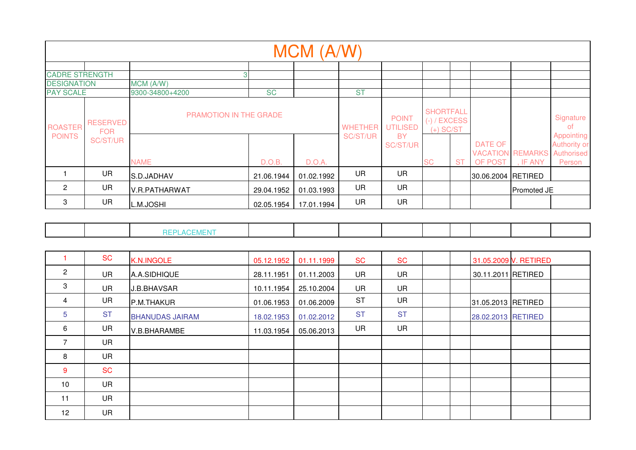|                                                     |                                           |                                                          |                     | MCM (A/W)  |                                         |                                                          |                                                                |           |                                                          |             |                                                                 |
|-----------------------------------------------------|-------------------------------------------|----------------------------------------------------------|---------------------|------------|-----------------------------------------|----------------------------------------------------------|----------------------------------------------------------------|-----------|----------------------------------------------------------|-------------|-----------------------------------------------------------------|
| <b>CADRE STRENGTH</b><br><b>DESIGNATION</b>         |                                           | MCM (A/W)                                                |                     |            |                                         |                                                          |                                                                |           |                                                          |             |                                                                 |
| <b>PAY SCALE</b><br><b>ROASTER</b><br><b>POINTS</b> | <b>RESERVED</b><br><b>FOR</b><br>SC/ST/UR | 9300-34800+4200<br>PRAMOTION IN THE GRADE<br><b>NAME</b> | <b>SC</b><br>D.O.B. | D.O.A.     | <b>ST</b><br><b>WHETHER</b><br>SC/ST/UR | <b>POINT</b><br><b>UTILISED</b><br><b>BY</b><br>SC/ST/UR | <b>SHORTFALL</b><br>$(-)$ / EXCESS<br>$(+)$ SC/ST<br><b>SC</b> | <b>ST</b> | DATE OF<br><b>VACATION REMARKS Authorised</b><br>OF POST | , IF ANY    | Signature<br>of.<br>Appointing<br><b>Authority or</b><br>Person |
|                                                     | <b>UR</b>                                 | S.D.JADHAV                                               | 21.06.1944          | 01.02.1992 | <b>UR</b>                               | UR                                                       |                                                                |           | 30.06.2004 RETIRED                                       |             |                                                                 |
| 2                                                   | UR                                        | <b>V.R.PATHARWAT</b>                                     | 29.04.1952          | 01.03.1993 | <b>UR</b>                               | <b>UR</b>                                                |                                                                |           |                                                          | Promoted JE |                                                                 |
| 3                                                   | UR                                        | L.M.JOSHI                                                | 02.05.1954          | 17.01.1994 | <b>UR</b>                               | UR                                                       |                                                                |           |                                                          |             |                                                                 |

|--|

|                   | <b>SC</b> | K.N.INGOLE             | 05.12.1952 | 01.11.1999 | <b>SC</b> | <b>SC</b> |  |                    | 31.05.2009 V. RETIRED |  |
|-------------------|-----------|------------------------|------------|------------|-----------|-----------|--|--------------------|-----------------------|--|
| $\overline{2}$    | <b>UR</b> | A.A.SIDHIQUE           | 28.11.1951 | 01.11.2003 | <b>UR</b> | <b>UR</b> |  | 30.11.2011 RETIRED |                       |  |
| 3                 | <b>UR</b> | J.B.BHAVSAR            | 10.11.1954 | 25.10.2004 | UR        | <b>UR</b> |  |                    |                       |  |
| 4                 | UR        | P.M.THAKUR             | 01.06.1953 | 01.06.2009 | <b>ST</b> | <b>UR</b> |  | 31.05.2013 RETIRED |                       |  |
| 5                 | <b>ST</b> | <b>BHANUDAS JAIRAM</b> | 18.02.1953 | 01.02.2012 | <b>ST</b> | <b>ST</b> |  | 28.02.2013 RETIRED |                       |  |
| 6                 | <b>UR</b> | V.B.BHARAMBE           | 11.03.1954 | 05.06.2013 | <b>UR</b> | <b>UR</b> |  |                    |                       |  |
| 7                 | <b>UR</b> |                        |            |            |           |           |  |                    |                       |  |
| 8                 | <b>UR</b> |                        |            |            |           |           |  |                    |                       |  |
| -9                | <b>SC</b> |                        |            |            |           |           |  |                    |                       |  |
| 10                | <b>UR</b> |                        |            |            |           |           |  |                    |                       |  |
| 11                | <b>UR</b> |                        |            |            |           |           |  |                    |                       |  |
| $12 \overline{ }$ | <b>UR</b> |                        |            |            |           |           |  |                    |                       |  |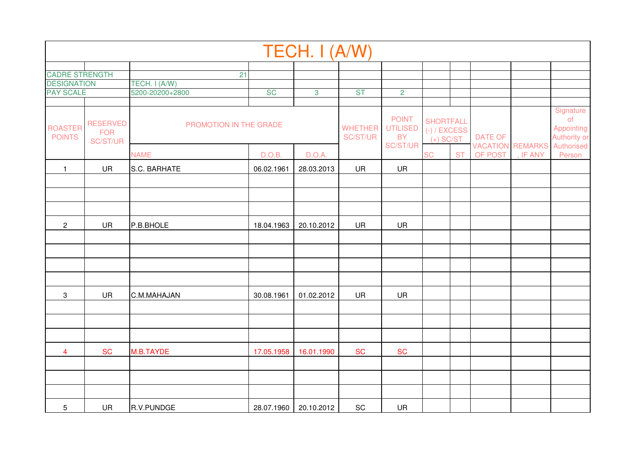|                                        |                                           |                                       |            | TECH. I (A/W) |                            |                                                          |                                                                |           |                           |                                     |                                                                                                 |
|----------------------------------------|-------------------------------------------|---------------------------------------|------------|---------------|----------------------------|----------------------------------------------------------|----------------------------------------------------------------|-----------|---------------------------|-------------------------------------|-------------------------------------------------------------------------------------------------|
|                                        |                                           |                                       |            |               |                            |                                                          |                                                                |           |                           |                                     |                                                                                                 |
| <b>CADRE STRENGTH</b>                  |                                           | 21                                    |            |               |                            |                                                          |                                                                |           |                           |                                     |                                                                                                 |
| <b>DESIGNATION</b><br><b>PAY SCALE</b> |                                           | TECH. I (A/W)<br>5200-20200+2800      | <b>SC</b>  | $\mathbf{3}$  | <b>ST</b>                  | $\overline{2}$                                           |                                                                |           |                           |                                     |                                                                                                 |
|                                        |                                           |                                       |            |               |                            |                                                          |                                                                |           |                           |                                     |                                                                                                 |
| <b>ROASTER</b><br><b>POINTS</b>        | <b>RESERVED</b><br><b>FOR</b><br>SC/ST/UR | PROMOTION IN THE GRADE<br><b>NAME</b> | D.O.B.     | D.O.A.        | <b>WHETHER</b><br>SC/ST/UR | <b>POINT</b><br><b>UTILISED</b><br><b>BY</b><br>SC/ST/UR | <b>SHORTFALL</b><br>$(-)$ / EXCESS<br>$(+)$ SC/ST<br><b>SC</b> | <b>ST</b> | <b>DATE OF</b><br>OF POST | <b>VACATION REMARKS</b><br>, IF ANY | Signature<br>o <sub>f</sub><br><b>Appointing</b><br><b>Authority or</b><br>Authorised<br>Person |
|                                        |                                           |                                       |            |               |                            |                                                          |                                                                |           |                           |                                     |                                                                                                 |
| $\mathbf{1}$                           | <b>UR</b>                                 | S.C. BARHATE                          | 06.02.1961 | 28.03.2013    | <b>UR</b>                  | UR                                                       |                                                                |           |                           |                                     |                                                                                                 |
|                                        |                                           |                                       |            |               |                            |                                                          |                                                                |           |                           |                                     |                                                                                                 |
|                                        |                                           |                                       |            |               |                            |                                                          |                                                                |           |                           |                                     |                                                                                                 |
|                                        |                                           |                                       |            |               |                            |                                                          |                                                                |           |                           |                                     |                                                                                                 |
| $\overline{c}$                         | UR                                        | P.B.BHOLE                             | 18.04.1963 | 20.10.2012    | UR                         | UR                                                       |                                                                |           |                           |                                     |                                                                                                 |
|                                        |                                           |                                       |            |               |                            |                                                          |                                                                |           |                           |                                     |                                                                                                 |
|                                        |                                           |                                       |            |               |                            |                                                          |                                                                |           |                           |                                     |                                                                                                 |
|                                        |                                           |                                       |            |               |                            |                                                          |                                                                |           |                           |                                     |                                                                                                 |
|                                        |                                           |                                       |            |               |                            |                                                          |                                                                |           |                           |                                     |                                                                                                 |
| $\sqrt{3}$                             | <b>UR</b>                                 | C.M.MAHAJAN                           | 30.08.1961 | 01.02.2012    | <b>UR</b>                  | UR                                                       |                                                                |           |                           |                                     |                                                                                                 |
|                                        |                                           |                                       |            |               |                            |                                                          |                                                                |           |                           |                                     |                                                                                                 |
|                                        |                                           |                                       |            |               |                            |                                                          |                                                                |           |                           |                                     |                                                                                                 |
|                                        |                                           |                                       |            |               |                            |                                                          |                                                                |           |                           |                                     |                                                                                                 |
| $\overline{\mathbf{4}}$                | <b>SC</b>                                 | M.B.TAYDE                             | 17.05.1958 | 16.01.1990    | <b>SC</b>                  | <b>SC</b>                                                |                                                                |           |                           |                                     |                                                                                                 |
|                                        |                                           |                                       |            |               |                            |                                                          |                                                                |           |                           |                                     |                                                                                                 |
|                                        |                                           |                                       |            |               |                            |                                                          |                                                                |           |                           |                                     |                                                                                                 |
|                                        |                                           |                                       |            |               |                            |                                                          |                                                                |           |                           |                                     |                                                                                                 |
| 5                                      | <b>UR</b>                                 | R.V.PUNDGE                            | 28.07.1960 | 20.10.2012    | SC                         | <b>UR</b>                                                |                                                                |           |                           |                                     |                                                                                                 |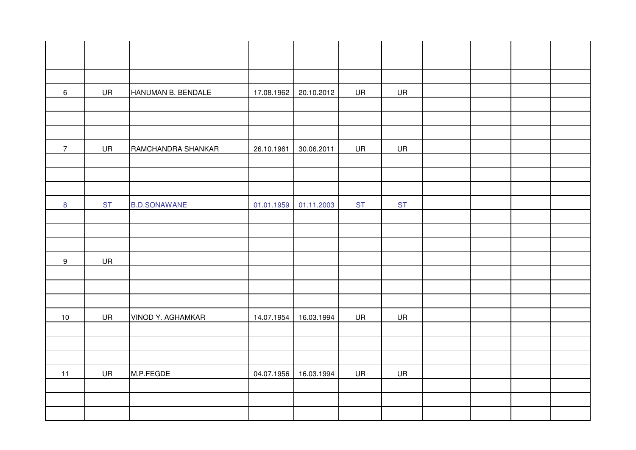| $\,6\,$        | UR        | HANUMAN B. BENDALE       | 17.08.1962 | 20.10.2012 | UR        | UR        |  |  |  |
|----------------|-----------|--------------------------|------------|------------|-----------|-----------|--|--|--|
|                |           |                          |            |            |           |           |  |  |  |
|                |           |                          |            |            |           |           |  |  |  |
|                |           |                          |            |            |           |           |  |  |  |
| $\overline{7}$ | <b>UR</b> | RAMCHANDRA SHANKAR       | 26.10.1961 | 30.06.2011 | UR        | UR        |  |  |  |
|                |           |                          |            |            |           |           |  |  |  |
|                |           |                          |            |            |           |           |  |  |  |
|                |           |                          |            |            |           |           |  |  |  |
| $\bf 8$        | <b>ST</b> | <b>B.D.SONAWANE</b>      | 01.01.1959 | 01.11.2003 | <b>ST</b> | <b>ST</b> |  |  |  |
|                |           |                          |            |            |           |           |  |  |  |
|                |           |                          |            |            |           |           |  |  |  |
|                |           |                          |            |            |           |           |  |  |  |
| $9\,$          | UR        |                          |            |            |           |           |  |  |  |
|                |           |                          |            |            |           |           |  |  |  |
|                |           |                          |            |            |           |           |  |  |  |
|                |           |                          |            |            |           |           |  |  |  |
| 10             | UR        | <b>VINOD Y. AGHAMKAR</b> | 14.07.1954 | 16.03.1994 | UR        | UR        |  |  |  |
|                |           |                          |            |            |           |           |  |  |  |
|                |           |                          |            |            |           |           |  |  |  |
|                |           |                          |            |            |           |           |  |  |  |
| 11             | UR        | M.P.FEGDE                | 04.07.1956 | 16.03.1994 | UR        | UR        |  |  |  |
|                |           |                          |            |            |           |           |  |  |  |
|                |           |                          |            |            |           |           |  |  |  |
|                |           |                          |            |            |           |           |  |  |  |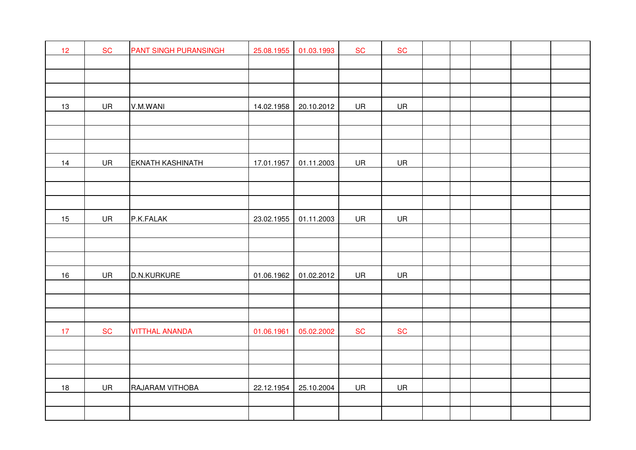| 12 | <b>SC</b> | PANT SINGH PURANSINGH   | 25.08.1955 | 01.03.1993 | <b>SC</b> | <b>SC</b> |  |  |  |
|----|-----------|-------------------------|------------|------------|-----------|-----------|--|--|--|
|    |           |                         |            |            |           |           |  |  |  |
|    |           |                         |            |            |           |           |  |  |  |
|    |           |                         |            |            |           |           |  |  |  |
| 13 | UR        | V.M.WANI                | 14.02.1958 | 20.10.2012 | UR        | UR        |  |  |  |
|    |           |                         |            |            |           |           |  |  |  |
|    |           |                         |            |            |           |           |  |  |  |
|    |           |                         |            |            |           |           |  |  |  |
| 14 | UR        | <b>EKNATH KASHINATH</b> | 17.01.1957 | 01.11.2003 | UR        | UR        |  |  |  |
|    |           |                         |            |            |           |           |  |  |  |
|    |           |                         |            |            |           |           |  |  |  |
|    |           |                         |            |            |           |           |  |  |  |
| 15 | UR        | P.K.FALAK               | 23.02.1955 | 01.11.2003 | UR        | UR        |  |  |  |
|    |           |                         |            |            |           |           |  |  |  |
|    |           |                         |            |            |           |           |  |  |  |
|    |           |                         |            |            |           |           |  |  |  |
| 16 | UR        | D.N.KURKURE             | 01.06.1962 | 01.02.2012 | UR        | UR        |  |  |  |
|    |           |                         |            |            |           |           |  |  |  |
|    |           |                         |            |            |           |           |  |  |  |
|    |           |                         |            |            |           |           |  |  |  |
| 17 | <b>SC</b> | <b>VITTHAL ANANDA</b>   | 01.06.1961 | 05.02.2002 | <b>SC</b> | <b>SC</b> |  |  |  |
|    |           |                         |            |            |           |           |  |  |  |
|    |           |                         |            |            |           |           |  |  |  |
|    |           |                         |            |            |           |           |  |  |  |
| 18 | UR        | RAJARAM VITHOBA         | 22.12.1954 | 25.10.2004 | UR        | UR        |  |  |  |
|    |           |                         |            |            |           |           |  |  |  |
|    |           |                         |            |            |           |           |  |  |  |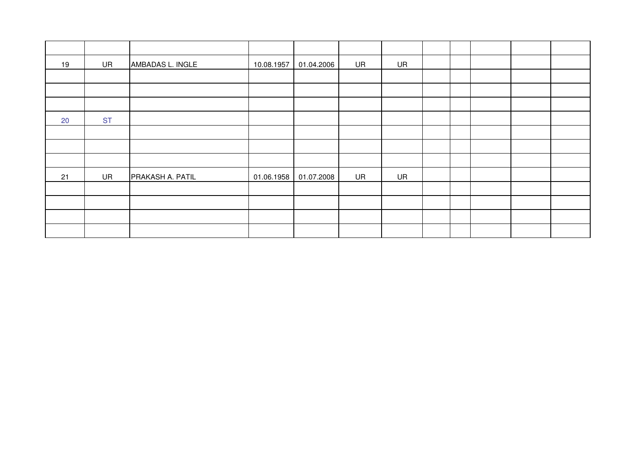| 19 | UR        | AMBADAS L. INGLE | 10.08.1957 | 01.04.2006 | UR | UR        |  |  |  |
|----|-----------|------------------|------------|------------|----|-----------|--|--|--|
|    |           |                  |            |            |    |           |  |  |  |
|    |           |                  |            |            |    |           |  |  |  |
|    |           |                  |            |            |    |           |  |  |  |
| 20 | <b>ST</b> |                  |            |            |    |           |  |  |  |
|    |           |                  |            |            |    |           |  |  |  |
|    |           |                  |            |            |    |           |  |  |  |
|    |           |                  |            |            |    |           |  |  |  |
| 21 | <b>UR</b> | PRAKASH A. PATIL | 01.06.1958 | 01.07.2008 | UR | <b>UR</b> |  |  |  |
|    |           |                  |            |            |    |           |  |  |  |
|    |           |                  |            |            |    |           |  |  |  |
|    |           |                  |            |            |    |           |  |  |  |
|    |           |                  |            |            |    |           |  |  |  |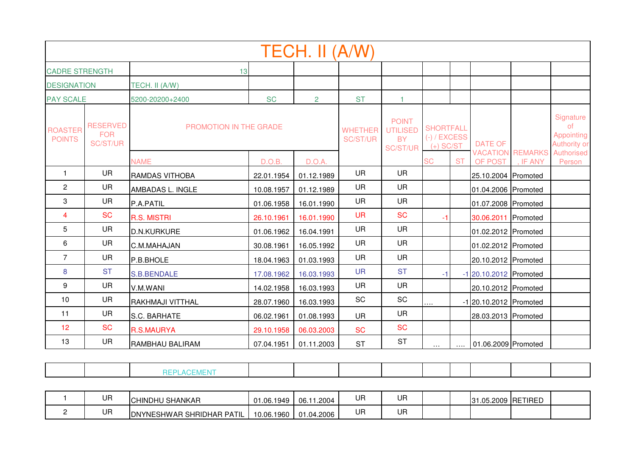|                                 |                                           |                               |            | TECH. II (A/W) |                            |                                                                 |                                                   |           |                              |                         |                                                                           |
|---------------------------------|-------------------------------------------|-------------------------------|------------|----------------|----------------------------|-----------------------------------------------------------------|---------------------------------------------------|-----------|------------------------------|-------------------------|---------------------------------------------------------------------------|
| <b>CADRE STRENGTH</b>           |                                           | 13                            |            |                |                            |                                                                 |                                                   |           |                              |                         |                                                                           |
| <b>DESIGNATION</b>              |                                           | TECH. II (A/W)                |            |                |                            |                                                                 |                                                   |           |                              |                         |                                                                           |
| <b>PAY SCALE</b>                |                                           | 5200-20200+2400               | <b>SC</b>  | $\overline{2}$ | <b>ST</b>                  | $\mathbf{1}$                                                    |                                                   |           |                              |                         |                                                                           |
| <b>ROASTER</b><br><b>POINTS</b> | <b>RESERVED</b><br><b>FOR</b><br>SC/ST/UR | <b>PROMOTION IN THE GRADE</b> |            |                | <b>WHETHER</b><br>SC/ST/UR | <b>POINT</b><br><b>UTILISED</b><br><b>BY</b><br><b>SC/ST/UR</b> | <b>SHORTFALL</b><br>$(-)$ / EXCESS<br>$(+)$ SC/ST |           | <b>DATE OF</b>               | <b>VACATION REMARKS</b> | Signature<br><b>of</b><br>Appointing<br><b>Authority or</b><br>Authorised |
|                                 |                                           | <b>NAME</b>                   | D.O.B.     | D.O.A.         |                            |                                                                 | <b>SC</b>                                         | <b>ST</b> | OF POST                      | , IF ANY                | Person                                                                    |
| $\mathbf{1}$                    | UR.                                       | RAMDAS VITHOBA                | 22.01.1954 | 01.12.1989     | <b>UR</b>                  | <b>UR</b>                                                       |                                                   |           | 25.10.2004 Promoted          |                         |                                                                           |
| $\overline{2}$                  | UR                                        | AMBADAS L. INGLE              | 10.08.1957 | 01.12.1989     | <b>UR</b>                  | <b>UR</b>                                                       |                                                   |           | 01.04.2006 Promoted          |                         |                                                                           |
| 3                               | <b>UR</b>                                 | P.A.PATIL                     | 01.06.1958 | 16.01.1990     | <b>UR</b>                  | <b>UR</b>                                                       |                                                   |           | 01.07.2008 Promoted          |                         |                                                                           |
| 4                               | <b>SC</b>                                 | <b>R.S. MISTRI</b>            | 26.10.1961 | 16.01.1990     | <b>UR</b>                  | <b>SC</b>                                                       | $-1$                                              |           | 30.06.2011 Promoted          |                         |                                                                           |
| 5                               | <b>UR</b>                                 | <b>D.N.KURKURE</b>            | 01.06.1962 | 16.04.1991     | <b>UR</b>                  | <b>UR</b>                                                       |                                                   |           | 01.02.2012 Promoted          |                         |                                                                           |
| 6                               | <b>UR</b>                                 | C.M.MAHAJAN                   | 30.08.1961 | 16.05.1992     | <b>UR</b>                  | <b>UR</b>                                                       |                                                   |           | 01.02.2012 Promoted          |                         |                                                                           |
| $\overline{7}$                  | <b>UR</b>                                 | P.B.BHOLE                     | 18.04.1963 | 01.03.1993     | <b>UR</b>                  | <b>UR</b>                                                       |                                                   |           | 20.10.2012 Promoted          |                         |                                                                           |
| 8                               | <b>ST</b>                                 | <b>S.B.BENDALE</b>            | 17.08.1962 | 16.03.1993     | <b>UR</b>                  | <b>ST</b>                                                       | $-1$                                              |           | -1 20.10.2012 Promoted       |                         |                                                                           |
| 9                               | <b>UR</b>                                 | V.M.WANI                      | 14.02.1958 | 16.03.1993     | <b>UR</b>                  | <b>UR</b>                                                       |                                                   |           | 20.10.2012 Promoted          |                         |                                                                           |
| 10                              | <b>UR</b>                                 | RAKHMAJI VITTHAL              | 28.07.1960 | 16.03.1993     | SC                         | <b>SC</b>                                                       | $\cdots$                                          |           | $-1$   20.10.2012   Promoted |                         |                                                                           |
| 11                              | <b>UR</b>                                 | S.C. BARHATE                  | 06.02.1961 | 01.08.1993     | <b>UR</b>                  | <b>UR</b>                                                       |                                                   |           | 28.03.2013 Promoted          |                         |                                                                           |
| 12                              | <b>SC</b>                                 | <b>R.S.MAURYA</b>             | 29.10.1958 | 06.03.2003     | <b>SC</b>                  | <b>SC</b>                                                       |                                                   |           |                              |                         |                                                                           |
| 13                              | <b>UR</b>                                 | RAMBHAU BALIRAM               | 07.04.1951 | 01.11.2003     | <b>ST</b>                  | <b>ST</b>                                                       | $\cdots$                                          |           | 01.06.2009 Promoted          |                         |                                                                           |

|--|--|--|--|--|--|--|--|--|--|--|--|

| UR | SHANKAR<br>ICHINDHU              | 01.06.1949      | .2004<br>06.   | UH | UF |  | ⊇ດ∩ຊ<br>.05.2009<br>ıз | ን  RETIREL |  |
|----|----------------------------------|-----------------|----------------|----|----|--|------------------------|------------|--|
| UR | <b>DNYNESHWAR SHRIDHAR PATIL</b> | .1960<br>10.06. | .2006<br>01.04 | UĦ | UF |  |                        |            |  |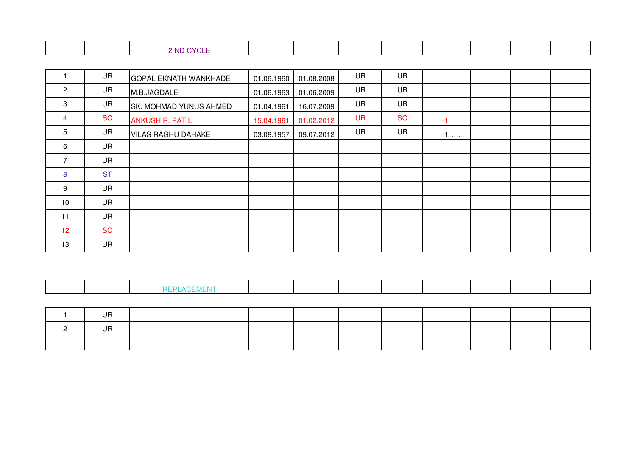|  | $\sim$<br>-ND- |  |  |  |  |  |
|--|----------------|--|--|--|--|--|
|  | ◡└└<br>- -     |  |  |  |  |  |

|                 | UR        | <b>GOPAL EKNATH WANKHADE</b> | 01.06.1960 | 01.08.2008 | UR        | UR        |    |        |  |  |
|-----------------|-----------|------------------------------|------------|------------|-----------|-----------|----|--------|--|--|
| $\overline{2}$  | <b>UR</b> | M.B.JAGDALE                  | 01.06.1963 | 01.06.2009 | <b>UR</b> | <b>UR</b> |    |        |  |  |
| 3               | <b>UR</b> | SK. MOHMAD YUNUS AHMED       | 01.04.1961 | 16.07.2009 | <b>UR</b> | <b>UR</b> |    |        |  |  |
| 4               | <b>SC</b> | <b>ANKUSH R. PATIL</b>       | 15.04.1961 | 01.02.2012 | <b>UR</b> | <b>SC</b> | -1 |        |  |  |
| 5               | <b>UR</b> | <b>VILAS RAGHU DAHAKE</b>    | 03.08.1957 | 09.07.2012 | <b>UR</b> | <b>UR</b> |    | $-1$ ] |  |  |
| 6               | <b>UR</b> |                              |            |            |           |           |    |        |  |  |
| 7               | <b>UR</b> |                              |            |            |           |           |    |        |  |  |
| 8               | <b>ST</b> |                              |            |            |           |           |    |        |  |  |
| 9               | <b>UR</b> |                              |            |            |           |           |    |        |  |  |
| 10              | <b>UR</b> |                              |            |            |           |           |    |        |  |  |
| 11              | <b>UR</b> |                              |            |            |           |           |    |        |  |  |
| 12 <sup>2</sup> | <b>SC</b> |                              |            |            |           |           |    |        |  |  |
| 13              | <b>UR</b> |                              |            |            |           |           |    |        |  |  |

|--|--|--|--|--|--|--|--|--|--|--|--|

| $\overline{1}$<br>- Uh |  |  |  |  |  |
|------------------------|--|--|--|--|--|
| .<br>UR                |  |  |  |  |  |
|                        |  |  |  |  |  |